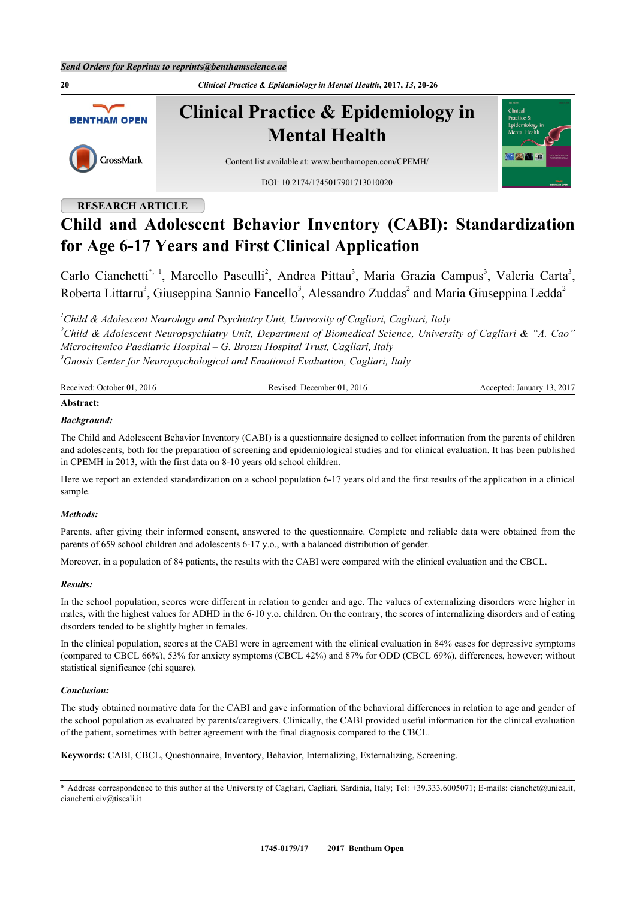**20** *Clinical Practice & Epidemiology in Mental Health***, 2017,** *13***, 20-26 Clinical Practice & Epidemiology in BENTHAM OPEN Mental Health** CrossMark Content list available at: [www.benthamopen.com/CPEMH/](http://www.benthamopen.com/CPEMH/) DOI: [10.2174/1745017901713010020](http://dx.doi.org/10.2174/1745017901713010020)

# **RESEARCH ARTICLE**

# **Child and Adolescent Behavior Inventory (CABI): Standardization for Age 6-17 Years and First Clinical Application**

Carlo Cianchetti<sup>[\\*,](#page-0-0) [1](#page-0-1)</sup>, Marcello Pasculli<sup>[2](#page-0-2)</sup>, Andrea Pittau<sup>[3](#page-0-3)</sup>, Maria Grazia Campus<sup>3</sup>, Valeria Carta<sup>3</sup>, Roberta Littarru<sup>[3](#page-0-3)</sup>, Giuseppina Sannio Fancello<sup>3</sup>, Alessandro Zuddas<sup>[2](#page-0-2)</sup> and Maria Giuseppina Ledda<sup>2</sup>

<span id="page-0-2"></span><span id="page-0-1"></span>*Child & Adolescent Neurology and Psychiatry Unit, University of Cagliari, Cagliari, Italy Child & Adolescent Neuropsychiatry Unit, Department of Biomedical Science, University of Cagliari & "A. Cao" Microcitemico Paediatric Hospital – G. Brotzu Hospital Trust, Cagliari, Italy Gnosis Center for Neuropsychological and Emotional Evaluation, Cagliari, Italy*

<span id="page-0-3"></span>

| Received: October 01, 2016 | Revised: December 01, 2016 | Accepted: January 13, 2017 |
|----------------------------|----------------------------|----------------------------|
| .                          |                            |                            |

# **Abstract:**

#### *Background:*

The Child and Adolescent Behavior Inventory (CABI) is a questionnaire designed to collect information from the parents of children and adolescents, both for the preparation of screening and epidemiological studies and for clinical evaluation. It has been published in CPEMH in 2013, with the first data on 8-10 years old school children.

Here we report an extended standardization on a school population 6-17 years old and the first results of the application in a clinical sample.

#### *Methods:*

Parents, after giving their informed consent, answered to the questionnaire. Complete and reliable data were obtained from the parents of 659 school children and adolescents 6-17 y.o., with a balanced distribution of gender.

Moreover, in a population of 84 patients, the results with the CABI were compared with the clinical evaluation and the CBCL.

#### *Results:*

In the school population, scores were different in relation to gender and age. The values of externalizing disorders were higher in males, with the highest values for ADHD in the 6-10 y.o. children. On the contrary, the scores of internalizing disorders and of eating disorders tended to be slightly higher in females.

In the clinical population, scores at the CABI were in agreement with the clinical evaluation in 84% cases for depressive symptoms (compared to CBCL 66%), 53% for anxiety symptoms (CBCL 42%) and 87% for ODD (CBCL 69%), differences, however; without statistical significance (chi square).

#### *Conclusion:*

The study obtained normative data for the CABI and gave information of the behavioral differences in relation to age and gender of the school population as evaluated by parents/caregivers. Clinically, the CABI provided useful information for the clinical evaluation of the patient, sometimes with better agreement with the final diagnosis compared to the CBCL.

**Keywords:** CABI, CBCL, Questionnaire, Inventory, Behavior, Internalizing, Externalizing, Screening.

<span id="page-0-0"></span><sup>\*</sup> Address correspondence to this author at the University of Cagliari, Cagliari, Sardinia, Italy; Tel: +39.333.6005071; E-mails: [cianchet@unica.it,](mailto:cianchet@unica.it) [cianchetti.civ@tiscali.it](mailto:cianchetti.civ@tiscali.it)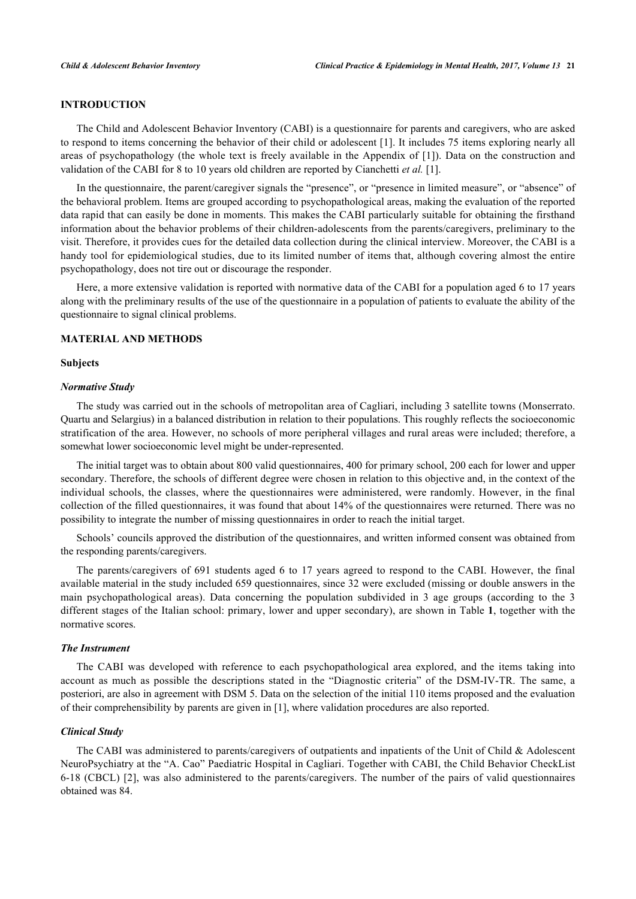#### **INTRODUCTION**

The Child and Adolescent Behavior Inventory (CABI) is a questionnaire for parents and caregivers, who are asked to respond to items concerning the behavior of their child or adolescent [\[1](#page-6-0)]. It includes 75 items exploring nearly all areas of psychopathology (the whole text is freely available in the Appendix of [[1](#page-6-0)]). Data on the construction and validation of the CABI for 8 to 10 years old children are reported by Cianchetti *et al.* [\[1](#page-6-0)].

In the questionnaire, the parent/caregiver signals the "presence", or "presence in limited measure", or "absence" of the behavioral problem. Items are grouped according to psychopathological areas, making the evaluation of the reported data rapid that can easily be done in moments. This makes the CABI particularly suitable for obtaining the firsthand information about the behavior problems of their children-adolescents from the parents/caregivers, preliminary to the visit. Therefore, it provides cues for the detailed data collection during the clinical interview. Moreover, the CABI is a handy tool for epidemiological studies, due to its limited number of items that, although covering almost the entire psychopathology, does not tire out or discourage the responder.

Here, a more extensive validation is reported with normative data of the CABI for a population aged 6 to 17 years along with the preliminary results of the use of the questionnaire in a population of patients to evaluate the ability of the questionnaire to signal clinical problems.

# **MATERIAL AND METHODS**

#### **Subjects**

#### *Normative Study*

The study was carried out in the schools of metropolitan area of Cagliari, including 3 satellite towns (Monserrato. Quartu and Selargius) in a balanced distribution in relation to their populations. This roughly reflects the socioeconomic stratification of the area. However, no schools of more peripheral villages and rural areas were included; therefore, a somewhat lower socioeconomic level might be under-represented.

The initial target was to obtain about 800 valid questionnaires, 400 for primary school, 200 each for lower and upper secondary. Therefore, the schools of different degree were chosen in relation to this objective and, in the context of the individual schools, the classes, where the questionnaires were administered, were randomly. However, in the final collection of the filled questionnaires, it was found that about 14% of the questionnaires were returned. There was no possibility to integrate the number of missing questionnaires in order to reach the initial target.

Schools' councils approved the distribution of the questionnaires, and written informed consent was obtained from the responding parents/caregivers.

The parents/caregivers of 691 students aged 6 to 17 years agreed to respond to the CABI. However, the final available material in the study included 659 questionnaires, since 32 were excluded (missing or double answers in the main psychopathological areas). Data concerning the population subdivided in 3 age groups (according to the 3 different stages of the Italian school: primary, lower and upper secondary), are shown in Table **[1](#page-3-0)**, together with the normative scores.

## *The Instrument*

The CABI was developed with reference to each psychopathological area explored, and the items taking into account as much as possible the descriptions stated in the "Diagnostic criteria" of the DSM-IV-TR. The same, a posteriori, are also in agreement with DSM 5. Data on the selection of the initial 110 items proposed and the evaluation of their comprehensibility by parents are given in [[1\]](#page-6-0), where validation procedures are also reported.

#### *Clinical Study*

The CABI was administered to parents/caregivers of outpatients and inpatients of the Unit of Child & Adolescent NeuroPsychiatry at the "A. Cao" Paediatric Hospital in Cagliari. Together with CABI, the Child Behavior CheckList 6-18 (CBCL) [\[2](#page-6-1)], was also administered to the parents/caregivers. The number of the pairs of valid questionnaires obtained was 84.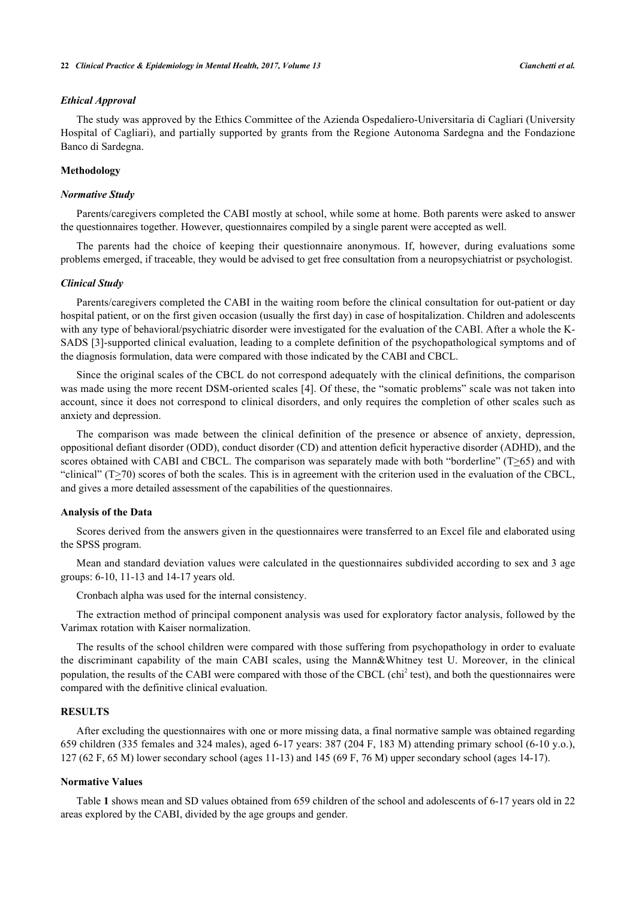#### *Ethical Approval*

The study was approved by the Ethics Committee of the Azienda Ospedaliero-Universitaria di Cagliari (University Hospital of Cagliari), and partially supported by grants from the Regione Autonoma Sardegna and the Fondazione Banco di Sardegna.

#### **Methodology**

#### *Normative Study*

Parents/caregivers completed the CABI mostly at school, while some at home. Both parents were asked to answer the questionnaires together. However, questionnaires compiled by a single parent were accepted as well.

The parents had the choice of keeping their questionnaire anonymous. If, however, during evaluations some problems emerged, if traceable, they would be advised to get free consultation from a neuropsychiatrist or psychologist.

#### *Clinical Study*

Parents/caregivers completed the CABI in the waiting room before the clinical consultation for out-patient or day hospital patient, or on the first given occasion (usually the first day) in case of hospitalization. Children and adolescents with any type of behavioral/psychiatric disorder were investigated for the evaluation of the CABI. After a whole the K-SADS [[3\]](#page-6-2)-supported clinical evaluation, leading to a complete definition of the psychopathological symptoms and of the diagnosis formulation, data were compared with those indicated by the CABI and CBCL.

Since the original scales of the CBCL do not correspond adequately with the clinical definitions, the comparison was made using the more recent DSM-oriented scales [\[4](#page-6-3)]. Of these, the "somatic problems" scale was not taken into account, since it does not correspond to clinical disorders, and only requires the completion of other scales such as anxiety and depression.

The comparison was made between the clinical definition of the presence or absence of anxiety, depression, oppositional defiant disorder (ODD), conduct disorder (CD) and attention deficit hyperactive disorder (ADHD), and the scores obtained with CABI and CBCL. The comparison was separately made with both "borderline" ( $T\geq 65$ ) and with "clinical"  $(T \ge 70)$  scores of both the scales. This is in agreement with the criterion used in the evaluation of the CBCL, and gives a more detailed assessment of the capabilities of the questionnaires.

#### **Analysis of the Data**

Scores derived from the answers given in the questionnaires were transferred to an Excel file and elaborated using the SPSS program.

Mean and standard deviation values were calculated in the questionnaires subdivided according to sex and 3 age groups: 6-10, 11-13 and 14-17 years old.

Cronbach alpha was used for the internal consistency.

The extraction method of principal component analysis was used for exploratory factor analysis, followed by the Varimax rotation with Kaiser normalization.

The results of the school children were compared with those suffering from psychopathology in order to evaluate the discriminant capability of the main CABI scales, using the Mann&Whitney test U. Moreover, in the clinical population, the results of the CABI were compared with those of the CBCL (chi<sup>2</sup> test), and both the questionnaires were compared with the definitive clinical evaluation.

## **RESULTS**

After excluding the questionnaires with one or more missing data, a final normative sample was obtained regarding 659 children (335 females and 324 males), aged 6-17 years: 387 (204 F, 183 M) attending primary school (6-10 y.o.), 127 (62 F, 65 M) lower secondary school (ages 11-13) and 145 (69 F, 76 M) upper secondary school (ages 14-17).

#### **Normative Values**

Table **[1](#page-3-0)** shows mean and SD values obtained from 659 children of the school and adolescents of 6-17 years old in 22 areas explored by the CABI, divided by the age groups and gender.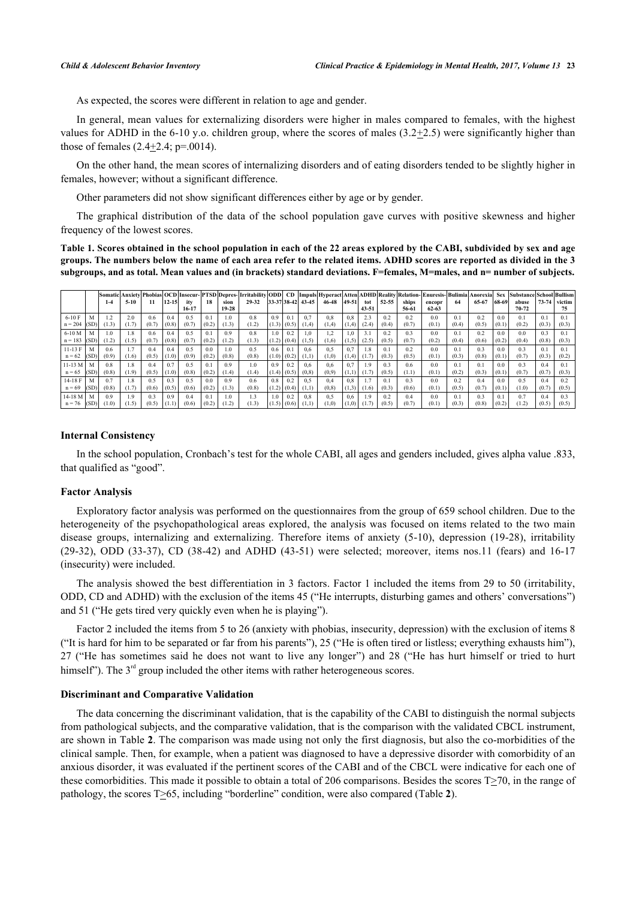As expected, the scores were different in relation to age and gender.

In general, mean values for externalizing disorders were higher in males compared to females, with the highest values for ADHD in the 6-10 y.o. children group, where the scores of males  $(3.2\pm 2.5)$  were significantly higher than those of females  $(2.4+2.4; p=.0014)$ .

On the other hand, the mean scores of internalizing disorders and of eating disorders tended to be slightly higher in females, however; without a significant difference.

Other parameters did not show significant differences either by age or by gender.

The graphical distribution of the data of the school population gave curves with positive skewness and higher frequency of the lowest scores.

<span id="page-3-0"></span>**Table 1. Scores obtained in the school population in each of the 22 areas explored by the CABI, subdivided by sex and age groups. The numbers below the name of each area refer to the related items. ADHD scores are reported as divided in the 3 subgroups, and as total. Mean values and (in brackets) standard deviations. F=females, M=males, and n= number of subjects.**

|                         |       | Somatic<br>$1 - 4$ | $5 - 10$     | 11           | $12 - 15$    | itv          | 18                      |                   | Anxiety Phobias OCD Insecur- PTSD Depres- Irritability ODD  CD  Impuls Hyperact Atten ADHD Reality Relation- Enuresis- Bulimia <br>29-32 |              |              | 33-37 38-42 43-45 | 46-48         | 49-51        |                  | 52-55                   | ships        |                     | 64                      | Anorexia<br>65-67 | <b>Sex</b><br>68-69     | Substance School Bullism | $73 - 74$    | victim                  |
|-------------------------|-------|--------------------|--------------|--------------|--------------|--------------|-------------------------|-------------------|------------------------------------------------------------------------------------------------------------------------------------------|--------------|--------------|-------------------|---------------|--------------|------------------|-------------------------|--------------|---------------------|-------------------------|-------------------|-------------------------|--------------------------|--------------|-------------------------|
|                         |       |                    |              |              |              | 16-17        |                         | sion<br>$19 - 28$ |                                                                                                                                          |              |              |                   |               |              | tot<br>$43 - 51$ |                         | 56-61        | encopr<br>$62 - 63$ |                         |                   |                         | abuse<br>$70 - 72$       |              | 75                      |
| $6-10$ F<br>$n = 204$   | (SD)  | 1.2<br>(1.3)       | 2.0<br>(1.7) | 0.6<br>(0.7) | 0.4<br>(0.8) | 0.5<br>(0.7) | $0$ .<br>(0.2)          | 1.0<br>(1.3)      | 0.8<br>(1.2)                                                                                                                             | 0.9<br>(1.3) | 0.1<br>(0.5) | 0.7<br>(1,4)      | 0.8<br>(1,4)  | 0.8<br>(1,4) | 2.3<br>(2.4)     | 0.2<br>(0.4)            | 0.2<br>(0.7) | 0.0<br>(0.1)        | 0.1<br>(0.4)            | 0.2<br>(0.5)      | 0 <sub>0</sub><br>(0.1) | 0.1<br>(0.2)             | 0.1<br>(0.3) | (0.3)                   |
| $6-10M$<br>$n = 183$    | (SD)  | 1.0<br>(1.2)       | 1.8<br>(1.5) | 0.6<br>(0.7) | 0.4<br>(0.8) | 0.5<br>(0.7) | 0.1<br>(0.2)            | 0.9<br>(1.2)      | 0.8<br>(1.3)                                                                                                                             | 1.0<br>(1.2) | 0.2<br>(0.4) | $_{0,i}$<br>(1,5) | 1.2<br>1,6)   | 1,0<br>(1,5) | (2.5)            | 0.2<br>(0.5)            | 0.3<br>(0.7) | 0.0<br>(0.2)        | 0.1<br>(0.4)            | 0.2<br>(0.6)      | 0.0<br>(0.2)            | 0.0<br>(0.4)             | 0.3<br>(0.8) | 0 <sub>1</sub><br>(0.3) |
| $11 - 13$ F<br>$n = 62$ | I(SD) | 0.6<br>(0.9)       | 1.7<br>(1.6) | 0.4<br>(0.5) | 0.4<br>(1.0) | 0.5<br>(0.9) | 0 <sub>0</sub><br>(0.2) | 1.0<br>(0.8)      | 0.5<br>(0.8)                                                                                                                             | 0.6<br>(1.0) | 0.1<br>(0.2) | 0.6<br>(1,1)      | 0.5<br>(1,0)  | 0.7<br>(1,4) |                  | 0 <sub>1</sub><br>(0.3) | 0.2<br>(0.5) | 0.0<br>(0.1)        | 0 <sup>1</sup><br>(0.3) | 0.3<br>(0.8)      | 0 <sub>0</sub><br>(0.1) | 0.3<br>(0.7)             | 0.1<br>(0.3) | (0.2)                   |
| 11-13 M<br>$n = 65$     | (SD)  | 0.8<br>(0.8)       | 1.8<br>(1.9) | 0.4<br>(0.5) | 0.7<br>(1.0) | 0.5<br>(0.8) | 0.1<br>(0.2)            | 0.9<br>(1.4)      | 0.1<br>(1.4)                                                                                                                             | 0.9<br>(1.4) | 0.2<br>(0.5) | 0.6<br>(0, 8)     | 0.6<br>(0,9)  | 0.7<br>(1,1) |                  | 0.3<br>(0.5)            | 0.6<br>(1.1) | 0.0<br>(0.1)        | 0.1<br>(0.2)            | 0.1<br>(0.3)      | 0.0<br>(0.1)            | 0.3<br>(0.7)             | 0.4<br>(0.7) | (0.3)                   |
| $14-18$ F<br>$n = 69$   | (SD)  | 0.7<br>(0.8)       | 1.8<br>(1.7) | 0.5<br>(0.6) | 0.3<br>(0.5) | 0.5<br>(0.6) | 0 <sub>0</sub><br>(0.2) | 0.9<br>(1.3)      | 0.6<br>(0.8)                                                                                                                             | 0.8<br>(1.2) | 0.2<br>(0.4) | 0.5<br>(1,1)      | 0.4<br>(0, 8) | 0.8<br>(1,3) | (1.6)            | 0.1<br>(0.3)            | 0.3<br>(0.6) | 0.0<br>(0.1)        | 0.2<br>(0.5)            | 0.4<br>(0.7)      | 0.0<br>(0.1)            | 0.5<br>(1.0)             | 0.4<br>(0.7) | 0.2<br>(0.5)            |
| 14-18 M<br>$n = 76$     | (SD)  | 0.9<br>(1.0)       | 1.9<br>1.5   | 0.3<br>(0.5) | 0.9<br>(1.1) | 0.4<br>(0.6) | 0.1<br>(0.2)            | 1.0<br>(1.2)      | 1.3<br>(1.3)                                                                                                                             | 1.0<br>(1.5) | 0.2<br>(0.6) | 0.8               | 0.5<br>1,0)   | 0.6<br>(0,1) |                  | 0.2<br>(0.5)            | 0.4<br>(0.7) | 0.0<br>(0.1)        | 0.1<br>(0.3)            | 0.3<br>0.8        | 0.1<br>(0.2)            | 0.7<br>1.2               | 0.4<br>(0.5) | 0 <sup>3</sup><br>(0.5) |

#### **Internal Consistency**

In the school population, Cronbach's test for the whole CABI, all ages and genders included, gives alpha value .833, that qualified as "good".

#### **Factor Analysis**

Exploratory factor analysis was performed on the questionnaires from the group of 659 school children. Due to the heterogeneity of the psychopathological areas explored, the analysis was focused on items related to the two main disease groups, internalizing and externalizing. Therefore items of anxiety (5-10), depression (19-28), irritability (29-32), ODD (33-37), CD (38-42) and ADHD (43-51) were selected; moreover, items nos.11 (fears) and 16-17 (insecurity) were included.

The analysis showed the best differentiation in 3 factors. Factor 1 included the items from 29 to 50 (irritability, ODD, CD and ADHD) with the exclusion of the items 45 ("He interrupts, disturbing games and others' conversations") and 51 ("He gets tired very quickly even when he is playing").

Factor 2 included the items from 5 to 26 (anxiety with phobias, insecurity, depression) with the exclusion of items 8 ("It is hard for him to be separated or far from his parents"), 25 ("He is often tired or listless; everything exhausts him"), 27 ("He has sometimes said he does not want to live any longer") and 28 ("He has hurt himself or tried to hurt himself"). The  $3<sup>rd</sup>$  group included the other items with rather heterogeneous scores.

#### **Discriminant and Comparative Validation**

The data concerning the discriminant validation, that is the capability of the CABI to distinguish the normal subjects from pathological subjects, and the comparative validation, that is the comparison with the validated CBCL instrument, are shown in Table **[2](#page-4-0)**. The comparison was made using not only the first diagnosis, but also the co-morbidities of the clinical sample. Then, for example, when a patient was diagnosed to have a depressive disorder with comorbidity of an anxious disorder, it was evaluated if the pertinent scores of the CABI and of the CBCL were indicative for each one of these comorbidities. This made it possible to obtain a total of 206 comparisons. Besides the scores T>70, in the range of pathology, the scores T>65, including "borderline" condition, were also compared (Table **[2](#page-4-0)**).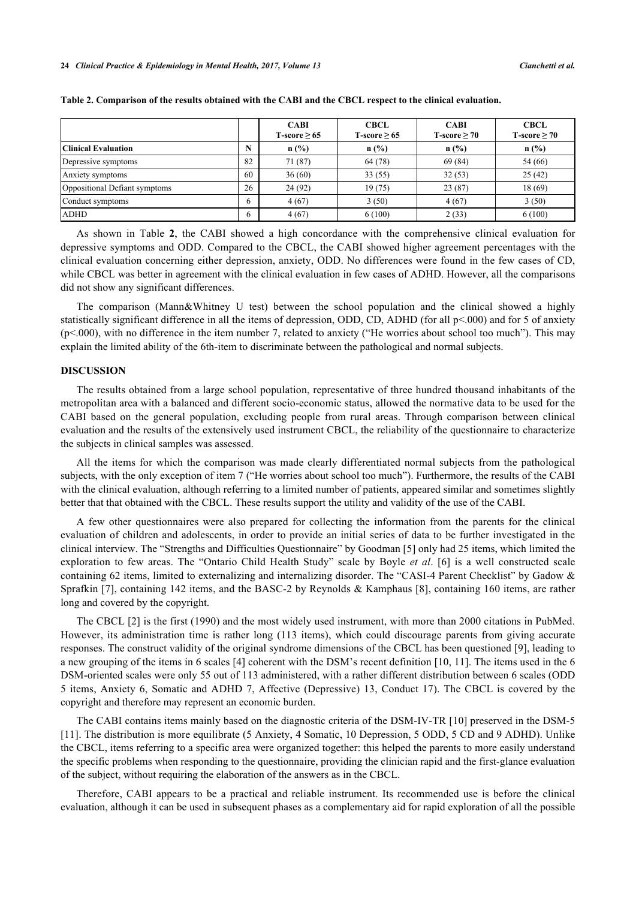|                               |    | <b>CABI</b><br>T-score $\geq 65$ | <b>CBCL</b><br>T-score $\geq 65$ | <b>CABI</b><br>T-score $\geq 70$ | <b>CBCL</b><br>T-score $\geq 70$ |
|-------------------------------|----|----------------------------------|----------------------------------|----------------------------------|----------------------------------|
| <b>Clinical Evaluation</b>    |    | n(%)                             | $n$ (%)                          | $n$ (%)                          | n(%)                             |
| Depressive symptoms           | 82 | 71 (87)                          | 64 (78)                          | 69(84)                           | 54 (66)                          |
| Anxiety symptoms              | 60 | 36(60)                           | 33(55)                           | 32(53)                           | 25(42)                           |
| Oppositional Defiant symptoms | 26 | 24 (92)                          | 19(75)                           | 23(87)                           | 18(69)                           |
| Conduct symptoms              |    | 4(67)                            | 3(50)                            | 4(67)                            | 3(50)                            |
| <b>ADHD</b>                   |    | 4(67)                            | 6(100)                           | 2(33)                            | 6(100)                           |

<span id="page-4-0"></span>**Table 2. Comparison of the results obtained with the CABI and the CBCL respect to the clinical evaluation.**

As shown in Table**2**, the CABI showed a high concordance with the comprehensive clinical evaluation for depressive symptoms and ODD. Compared to the CBCL, the CABI showed higher agreement percentages with the clinical evaluation concerning either depression, anxiety, ODD. No differences were found in the few cases of CD, while CBCL was better in agreement with the clinical evaluation in few cases of ADHD. However, all the comparisons did not show any significant differences.

The comparison (Mann&Whitney U test) between the school population and the clinical showed a highly statistically significant difference in all the items of depression, ODD, CD, ADHD (for all  $p<0.00$ ) and for 5 of anxiety (p<.000), with no difference in the item number 7, related to anxiety ("He worries about school too much"). This may explain the limited ability of the 6th-item to discriminate between the pathological and normal subjects.

#### **DISCUSSION**

The results obtained from a large school population, representative of three hundred thousand inhabitants of the metropolitan area with a balanced and different socio-economic status, allowed the normative data to be used for the CABI based on the general population, excluding people from rural areas. Through comparison between clinical evaluation and the results of the extensively used instrument CBCL, the reliability of the questionnaire to characterize the subjects in clinical samples was assessed.

All the items for which the comparison was made clearly differentiated normal subjects from the pathological subjects, with the only exception of item 7 ("He worries about school too much"). Furthermore, the results of the CABI with the clinical evaluation, although referring to a limited number of patients, appeared similar and sometimes slightly better that that obtained with the CBCL. These results support the utility and validity of the use of the CABI.

A few other questionnaires were also prepared for collecting the information from the parents for the clinical evaluation of children and adolescents, in order to provide an initial series of data to be further investigated in the clinical interview. The "Strengths and Difficulties Questionnaire" by Goodman [[5\]](#page-6-4) only had 25 items, which limited the exploration to few areas. The "Ontario Child Health Study" scale by Boyle *et al*. [\[6](#page-6-5)] is a well constructed scale containing 62 items, limited to externalizing and internalizing disorder. The "CASI-4 Parent Checklist" by Gadow & Sprafkin [\[7\]](#page-6-6), containing 142 items, and the BASC-2 by Reynolds & Kamphaus [[8\]](#page-6-7), containing 160 items, are rather long and covered by the copyright.

The CBCL [[2](#page-6-1)] is the first (1990) and the most widely used instrument, with more than 2000 citations in PubMed. However, its administration time is rather long (113 items), which could discourage parents from giving accurate responses. The construct validity of the original syndrome dimensions of the CBCL has been questioned [[9\]](#page-6-8), leading to a new grouping of the items in 6 scales [\[4](#page-6-3)] coherent with the DSM's recent definition [[10](#page-6-9), [11](#page-6-10)]. The items used in the 6 DSM-oriented scales were only 55 out of 113 administered, with a rather different distribution between 6 scales (ODD 5 items, Anxiety 6, Somatic and ADHD 7, Affective (Depressive) 13, Conduct 17). The CBCL is covered by the copyright and therefore may represent an economic burden.

The CABI contains items mainly based on the diagnostic criteria of the DSM-IV-TR [[10](#page-6-9)] preserved in the DSM-5 [\[11](#page-6-10)]. The distribution is more equilibrate (5 Anxiety, 4 Somatic, 10 Depression, 5 ODD, 5 CD and 9 ADHD). Unlike the CBCL, items referring to a specific area were organized together: this helped the parents to more easily understand the specific problems when responding to the questionnaire, providing the clinician rapid and the first-glance evaluation of the subject, without requiring the elaboration of the answers as in the CBCL.

Therefore, CABI appears to be a practical and reliable instrument. Its recommended use is before the clinical evaluation, although it can be used in subsequent phases as a complementary aid for rapid exploration of all the possible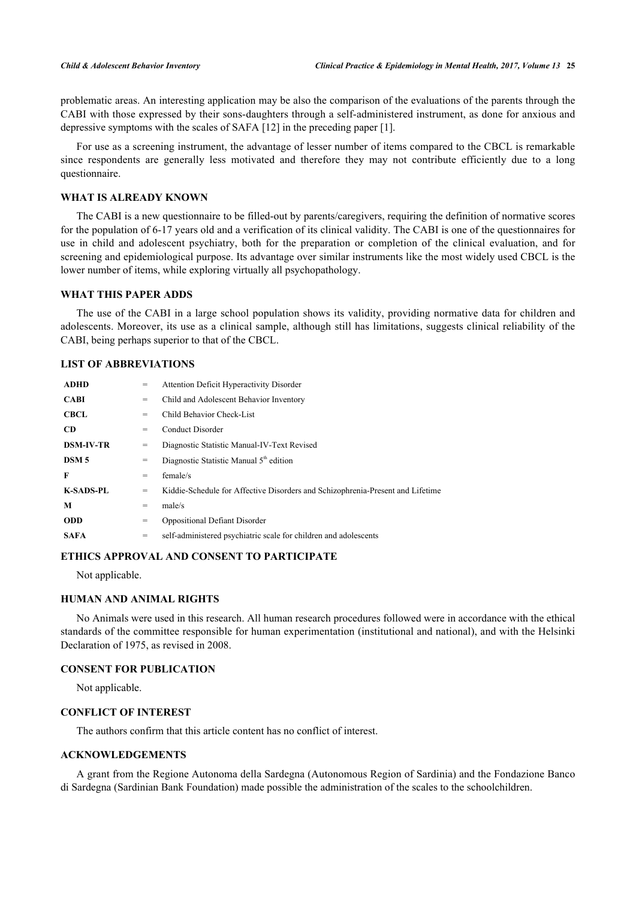problematic areas. An interesting application may be also the comparison of the evaluations of the parents through the CABI with those expressed by their sons-daughters through a self-administered instrument, as done for anxious and depressive symptoms with the scales of SAFA [[12\]](#page-6-11) in the preceding paper [\[1](#page-6-0)].

For use as a screening instrument, the advantage of lesser number of items compared to the CBCL is remarkable since respondents are generally less motivated and therefore they may not contribute efficiently due to a long questionnaire.

# **WHAT IS ALREADY KNOWN**

The CABI is a new questionnaire to be filled-out by parents/caregivers, requiring the definition of normative scores for the population of 6-17 years old and a verification of its clinical validity. The CABI is one of the questionnaires for use in child and adolescent psychiatry, both for the preparation or completion of the clinical evaluation, and for screening and epidemiological purpose. Its advantage over similar instruments like the most widely used CBCL is the lower number of items, while exploring virtually all psychopathology.

## **WHAT THIS PAPER ADDS**

The use of the CABI in a large school population shows its validity, providing normative data for children and adolescents. Moreover, its use as a clinical sample, although still has limitations, suggests clinical reliability of the CABI, being perhaps superior to that of the CBCL.

# **LIST OF ABBREVIATIONS**

| <b>ADHD</b>      | $=$ | <b>Attention Deficit Hyperactivity Disorder</b>                                |
|------------------|-----|--------------------------------------------------------------------------------|
| <b>CABI</b>      | $=$ | Child and Adolescent Behavior Inventory                                        |
| <b>CBCL</b>      | $=$ | Child Behavior Check-List                                                      |
| <b>CD</b>        | $=$ | Conduct Disorder                                                               |
| <b>DSM-IV-TR</b> | $=$ | Diagnostic Statistic Manual-IV-Text Revised                                    |
| DSM <sub>5</sub> | =   | Diagnostic Statistic Manual 5 <sup>th</sup> edition                            |
| F                | =   | female/s                                                                       |
| <b>K-SADS-PL</b> | =   | Kiddie-Schedule for Affective Disorders and Schizophrenia-Present and Lifetime |
| M                | $=$ | male/s                                                                         |
| <b>ODD</b>       | $=$ | <b>Oppositional Defiant Disorder</b>                                           |
| <b>SAFA</b>      | $=$ | self-administered psychiatric scale for children and adolescents               |

# **ETHICS APPROVAL AND CONSENT TO PARTICIPATE**

Not applicable.

#### **HUMAN AND ANIMAL RIGHTS**

No Animals were used in this research. All human research procedures followed were in accordance with the ethical standards of the committee responsible for human experimentation (institutional and national), and with the Helsinki Declaration of 1975, as revised in 2008.

#### **CONSENT FOR PUBLICATION**

Not applicable.

## **CONFLICT OF INTEREST**

The authors confirm that this article content has no conflict of interest.

# **ACKNOWLEDGEMENTS**

A grant from the Regione Autonoma della Sardegna (Autonomous Region of Sardinia) and the Fondazione Banco di Sardegna (Sardinian Bank Foundation) made possible the administration of the scales to the schoolchildren.